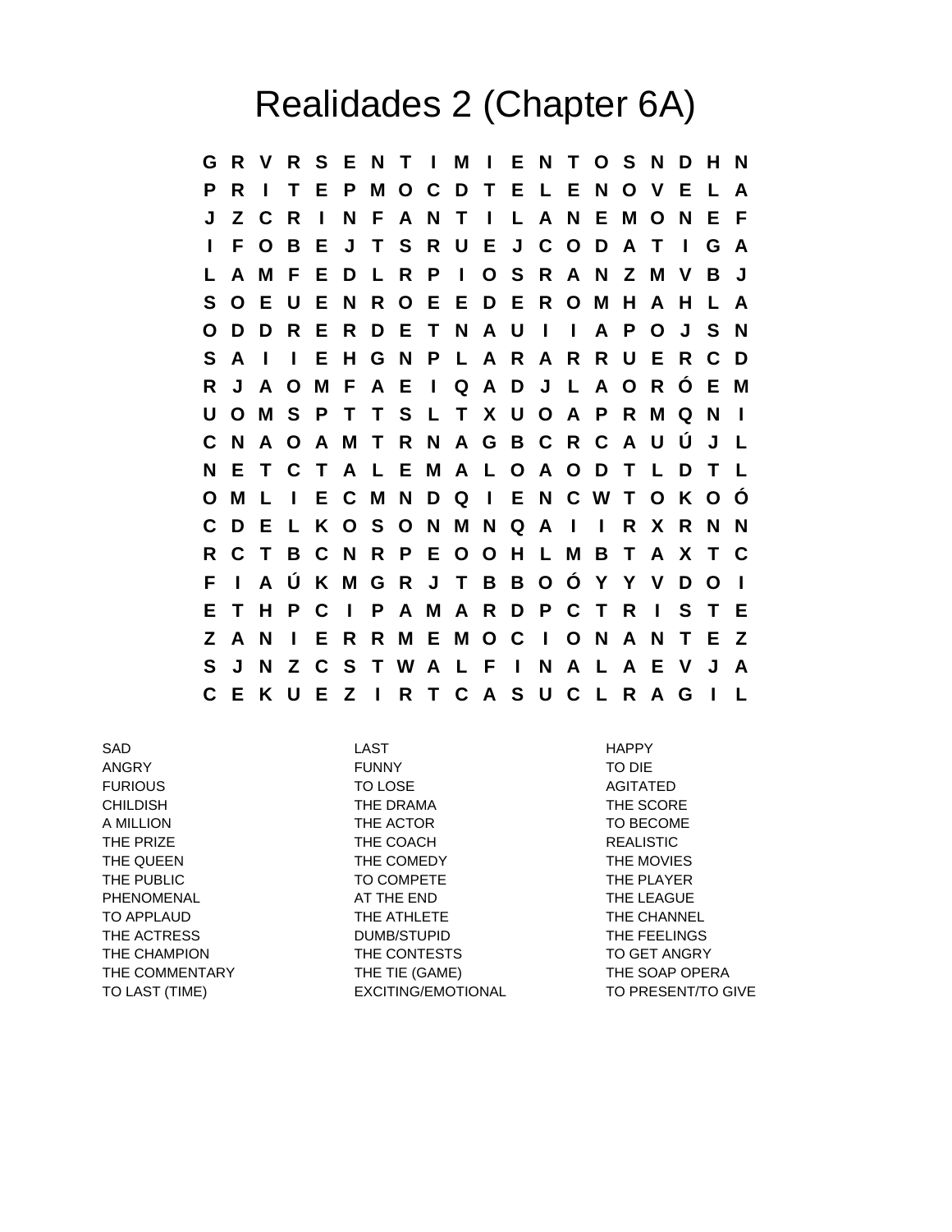## Realidades 2 (Chapter 6A)

**G R V R S E N T I M I E N T O S N D H N P R I T E P M O C D T E L E N O V E L A J Z C R I N F A N T I L A N E M O N E F I F O B E J T S R U E J C O D A T I G A L A M F E D L R P I O S R A N Z M V B J S O E U E N R O E E D E R O M H A H L A O D D R E R D E T N A U I I A P O J S N S A I I E H G N P L A R A R R U E R C D R J A O M F A E I Q A D J L A O R Ó E M U O M S P T T S L T X U O A P R M Q N I C N A O A M T R N A G B C R C A U Ú J L N E T C T A L E M A L O A O D T L D T L O M L I E C M N D Q I E N C W T O K O Ó C D E L K O S O N M N Q A I I R X R N N R C T B C N R P E O O H L M B T A X T C F I A Ú K M G R J T B B O Ó Y Y V D O I E T H P C I P A M A R D P C T R I S T E Z A N I E R R M E M O C I O N A N T E Z S J N Z C S T W A L F I N A L A E V J A C E K U E Z I R T C A S U C L R A G I L**

SAD LAST HAPPY ANGRY FUNNY TO DIE FURIOUS TO LOSE AGITATED CHILDISH THE DRAMA THE SCORE A MILLION GERMIN THE ACTOR THE ACTOR TO BECOME THE PRIZE THE COACH **THE COACH** REALISTIC THE QUEEN THE COMEDY THE COMEDY THE MOVIES THE PUBLIC **TO COMPETE** THE PLAYER PHENOMENAL **AT THE END** AT THE LEAGUE TO APPLAUD THE ATHLETE THE ATHLETE THE CHANNEL THE ACTRESS **THE STATE OF A STATE OF A STATE ACTRESS** THE FEELINGS THE CHAMPION THE CONTESTS TO GET ANGRY THE COMMENTARY THE TIE (GAME) THE TIE (SAME) THE SOAP OPERA

TO LAST (TIME) EXCITING/EMOTIONAL TO PRESENT/TO GIVE